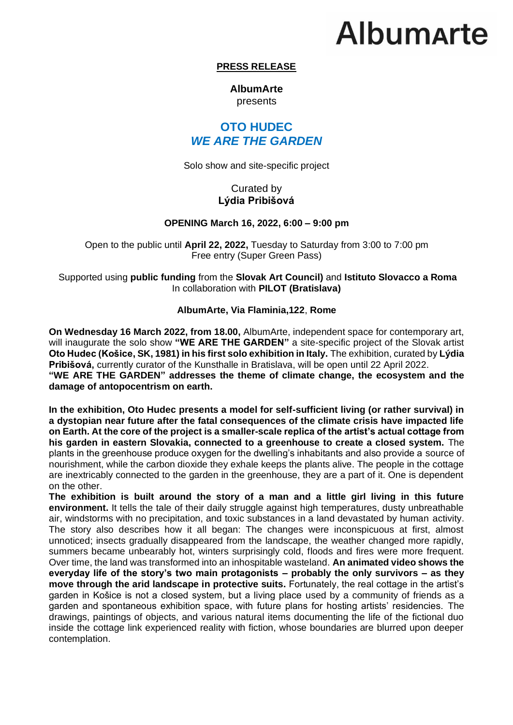# **Albumarte**

## **PRESS RELEASE**

### **AlbumArte**  presents

## **OTO HUDEC** *WE ARE THE GARDEN*

Solo show and site-specific project

## Curated by **Lýdia Pribišová**

### **OPENING March 16, 2022, 6:00 – 9:00 pm**

Open to the public until **April 22, 2022,** Tuesday to Saturday from 3:00 to 7:00 pm Free entry (Super Green Pass)

Supported using **public funding** from the **Slovak Art Council)** and **Istituto Slovacco a Roma** In collaboration with **PILOT (Bratislava)**

### **AlbumArte, Via Flaminia,122**, **Rome**

**On Wednesday 16 March 2022, from 18.00,** AlbumArte, independent space for contemporary art, will inaugurate the solo show **"WE ARE THE GARDEN"** a site-specific project of the Slovak artist **Oto Hudec (Košice, SK, 1981) in his first solo exhibition in Italy.** The exhibition, curated by **Lýdia Pribišová,** currently curator of the Kunsthalle in Bratislava, will be open until 22 April 2022. **"WE ARE THE GARDEN" addresses the theme of climate change, the ecosystem and the damage of antopocentrism on earth.**

**In the exhibition, Oto Hudec presents a model for self-sufficient living (or rather survival) in a dystopian near future after the fatal consequences of the climate crisis have impacted life on Earth. At the core of the project is a smaller-scale replica of the artist's actual cottage from his garden in eastern Slovakia, connected to a greenhouse to create a closed system.** The plants in the greenhouse produce oxygen for the dwelling's inhabitants and also provide a source of nourishment, while the carbon dioxide they exhale keeps the plants alive. The people in the cottage are inextricably connected to the garden in the greenhouse, they are a part of it. One is dependent on the other.

**The exhibition is built around the story of a man and a little girl living in this future environment.** It tells the tale of their daily struggle against high temperatures, dusty unbreathable air, windstorms with no precipitation, and toxic substances in a land devastated by human activity. The story also describes how it all began: The changes were inconspicuous at first, almost unnoticed; insects gradually disappeared from the landscape, the weather changed more rapidly, summers became unbearably hot, winters surprisingly cold, floods and fires were more frequent. Over time, the land was transformed into an inhospitable wasteland. **An animated video shows the everyday life of the story's two main protagonists – probably the only survivors – as they move through the arid landscape in protective suits.** Fortunately, the real cottage in the artist's garden in Košice is not a closed system, but a living place used by a community of friends as a garden and spontaneous exhibition space, with future plans for hosting artists' residencies. The drawings, paintings of objects, and various natural items documenting the life of the fictional duo inside the cottage link experienced reality with fiction, whose boundaries are blurred upon deeper contemplation.